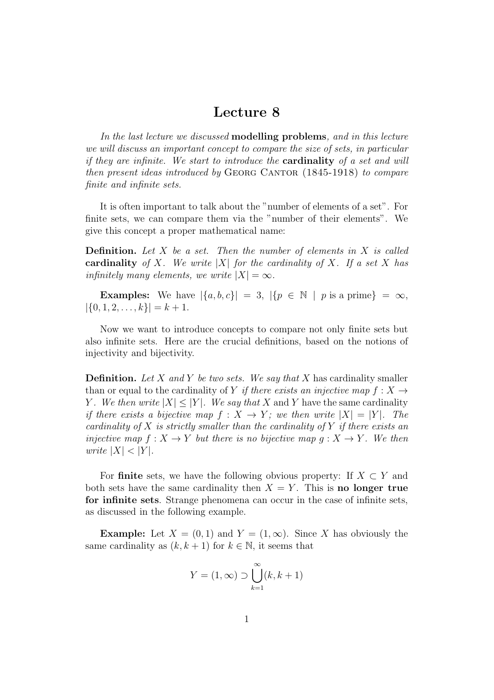## Lecture 8

In the last lecture we discussed **modelling problems**, and in this lecture we will discuss an important concept to compare the size of sets, in particular if they are infinite. We start to introduce the cardinality of a set and will then present ideas introduced by GEORG CANTOR (1845-1918) to compare finite and infinite sets.

It is often important to talk about the "number of elements of a set". For finite sets, we can compare them via the "number of their elements". We give this concept a proper mathematical name:

**Definition.** Let  $X$  be a set. Then the number of elements in  $X$  is called cardinality of X. We write |X| for the cardinality of X. If a set X has infinitely many elements, we write  $|X| = \infty$ .

**Examples:** We have  $|\{a, b, c\}| = 3$ ,  $|\{p \in \mathbb{N} \mid p \text{ is a prime}\}| = \infty$ ,  $|\{0, 1, 2, \ldots, k\}| = k + 1.$ 

Now we want to introduce concepts to compare not only finite sets but also infinite sets. Here are the crucial definitions, based on the notions of injectivity and bijectivity.

**Definition.** Let X and Y be two sets. We say that X has cardinality smaller than or equal to the cardinality of Y if there exists an injective map  $f: X \rightarrow$ Y. We then write  $|X| \leq |Y|$ . We say that X and Y have the same cardinality if there exists a bijective map  $f: X \to Y$ ; we then write  $|X| = |Y|$ . The cardinality of X is strictly smaller than the cardinality of Y if there exists an injective map  $f: X \to Y$  but there is no bijective map  $g: X \to Y$ . We then write  $|X| < |Y|$ .

For finite sets, we have the following obvious property: If  $X \subset Y$  and both sets have the same cardinality then  $X = Y$ . This is no longer true for infinite sets. Strange phenomena can occur in the case of infinite sets, as discussed in the following example.

**Example:** Let  $X = (0, 1)$  and  $Y = (1, \infty)$ . Since X has obviously the same cardinality as  $(k, k + 1)$  for  $k \in \mathbb{N}$ , it seems that

$$
Y = (1, \infty) \supset \bigcup_{k=1}^{\infty} (k, k+1)
$$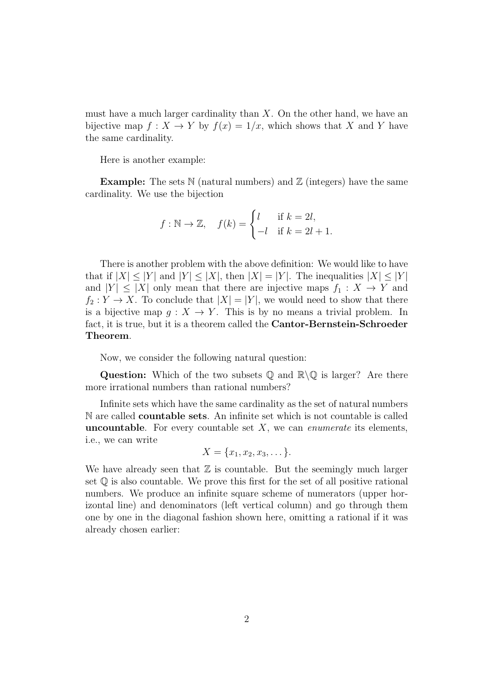must have a much larger cardinality than  $X$ . On the other hand, we have an bijective map  $f: X \to Y$  by  $f(x) = 1/x$ , which shows that X and Y have the same cardinality.

Here is another example:

**Example:** The sets  $\mathbb N$  (natural numbers) and  $\mathbb Z$  (integers) have the same cardinality. We use the bijection

$$
f: \mathbb{N} \to \mathbb{Z}, \quad f(k) = \begin{cases} l & \text{if } k = 2l, \\ -l & \text{if } k = 2l + 1. \end{cases}
$$

There is another problem with the above definition: We would like to have that if  $|X| \leq |Y|$  and  $|Y| \leq |X|$ , then  $|X| = |Y|$ . The inequalities  $|X| \leq |Y|$ and  $|Y| \leq |X|$  only mean that there are injective maps  $f_1: X \to Y$  and  $f_2: Y \to X$ . To conclude that  $|X| = |Y|$ , we would need to show that there is a bijective map  $g: X \to Y$ . This is by no means a trivial problem. In fact, it is true, but it is a theorem called the Cantor-Bernstein-Schroeder Theorem.

Now, we consider the following natural question:

**Question:** Which of the two subsets Q and  $\mathbb{R}\backslash\mathbb{Q}$  is larger? Are there more irrational numbers than rational numbers?

Infinite sets which have the same cardinality as the set of natural numbers N are called countable sets. An infinite set which is not countable is called **uncountable.** For every countable set  $X$ , we can *enumerate* its elements, i.e., we can write

$$
X = \{x_1, x_2, x_3, \dots\}.
$$

We have already seen that  $\mathbb Z$  is countable. But the seemingly much larger set  $\mathbb Q$  is also countable. We prove this first for the set of all positive rational numbers. We produce an infinite square scheme of numerators (upper horizontal line) and denominators (left vertical column) and go through them one by one in the diagonal fashion shown here, omitting a rational if it was already chosen earlier: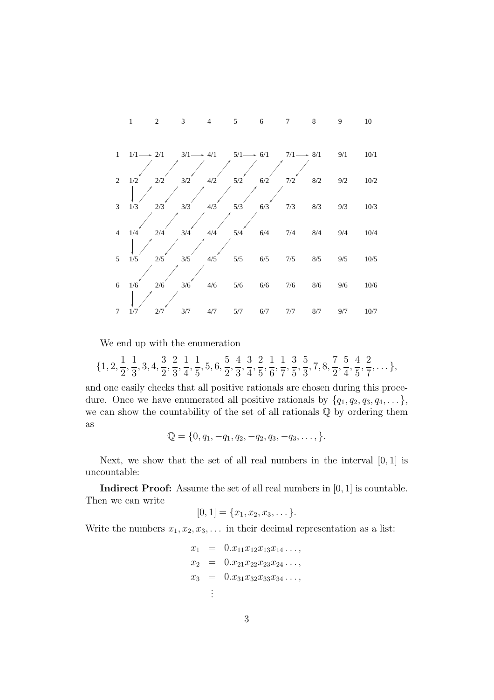

We end up with the enumeration

$$
\{1, 2, \frac{1}{2}, \frac{1}{3}, 3, 4, \frac{3}{2}, \frac{2}{3}, \frac{1}{4}, \frac{1}{5}, 5, 6, \frac{5}{2}, \frac{4}{3}, \frac{3}{4}, \frac{2}{5}, \frac{1}{6}, \frac{1}{7}, \frac{3}{5}, \frac{5}{3}, 7, 8, \frac{7}{2}, \frac{5}{4}, \frac{4}{5}, \frac{2}{7}, \ldots\},\
$$

and one easily checks that all positive rationals are chosen during this procedure. Once we have enumerated all positive rationals by  $\{q_1, q_2, q_3, q_4, \dots\}$ , we can show the countability of the set of all rationals Q by ordering them as

$$
\mathbb{Q} = \{0, q_1, -q_1, q_2, -q_2, q_3, -q_3, \dots\}.
$$

Next, we show that the set of all real numbers in the interval  $[0, 1]$  is uncountable:

**Indirect Proof:** Assume the set of all real numbers in  $[0, 1]$  is countable. Then we can write

$$
[0,1] = \{x_1, x_2, x_3, \dots\}.
$$

Write the numbers  $x_1, x_2, x_3, \ldots$  in their decimal representation as a list:

$$
x_1 = 0.x_{11}x_{12}x_{13}x_{14}...,
$$
  
\n
$$
x_2 = 0.x_{21}x_{22}x_{23}x_{24}...,
$$
  
\n
$$
x_3 = 0.x_{31}x_{32}x_{33}x_{34}...,
$$
  
\n
$$
\vdots
$$